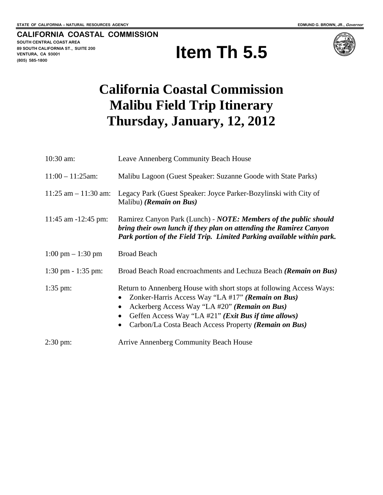**CALIFORNIA COASTAL COMMISSION SOUTH CENTRAL COAST AREA 89 SOUTH CALIFORNIA ST., SUITE 200 VENTURA, CA 93001 (805) 585-1800** 





# **California Coastal Commission Malibu Field Trip Itinerary Thursday, January, 12, 2012**

| $10:30$ am:                         | Leave Annenberg Community Beach House                                                                                                                                                                                                                                                                |
|-------------------------------------|------------------------------------------------------------------------------------------------------------------------------------------------------------------------------------------------------------------------------------------------------------------------------------------------------|
| $11:00 - 11:25$ am:                 | Malibu Lagoon (Guest Speaker: Suzanne Goode with State Parks)                                                                                                                                                                                                                                        |
| $11:25$ am $-11:30$ am:             | Legacy Park (Guest Speaker: Joyce Parker-Bozylinski with City of<br>Malibu) ( <i>Remain on Bus</i> )                                                                                                                                                                                                 |
| 11:45 am $-12:45$ pm:               | Ramirez Canyon Park (Lunch) - NOTE: Members of the public should<br>bring their own lunch if they plan on attending the Ramirez Canyon<br>Park portion of the Field Trip. Limited Parking available within park.                                                                                     |
| $1:00 \text{ pm} - 1:30 \text{ pm}$ | <b>Broad Beach</b>                                                                                                                                                                                                                                                                                   |
| $1:30 \text{ pm} - 1:35 \text{ pm}$ | Broad Beach Road encroachments and Lechuza Beach (Remain on Bus)                                                                                                                                                                                                                                     |
| $1:35$ pm:                          | Return to Annenberg House with short stops at following Access Ways:<br>Zonker-Harris Access Way "LA #17" (Remain on Bus)<br>Ackerberg Access Way "LA #20" (Remain on Bus)<br>Geffen Access Way "LA #21" ( <i>Exit Bus if time allows</i> )<br>Carbon/La Costa Beach Access Property (Remain on Bus) |
| $2:30 \text{ pm}$ :                 | <b>Arrive Annenberg Community Beach House</b>                                                                                                                                                                                                                                                        |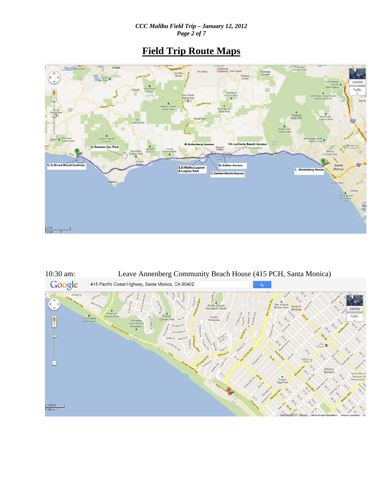*CCC Malibu Field Trip – January 12, 2012 Page 2 of 7* 

## **Field Trip Route Maps**



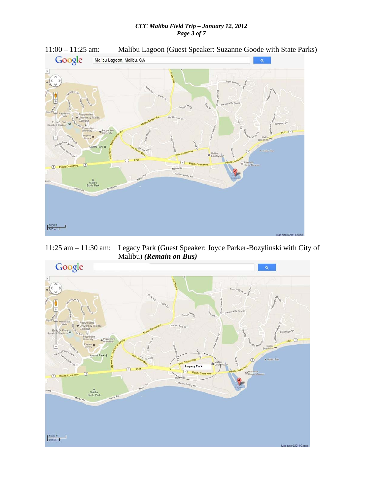### *CCC Malibu Field Trip – January 12, 2012 Page 3 of 7*



11:00 – 11:25 am: Malibu Lagoon (Guest Speaker: Suzanne Goode with State Parks)

11:25 am – 11:30 am: Legacy Park (Guest Speaker: Joyce Parker-Bozylinski with City of Malibu) *(Remain on Bus)*

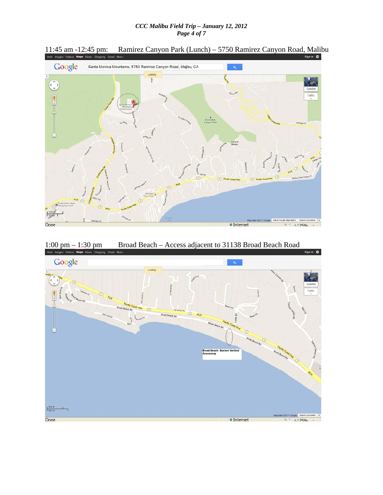#### *CCC Malibu Field Trip – January 12, 2012 Page 4 of 7*



11:45 am -12:45 pm: Ramirez Canyon Park (Lunch) – 5750 Ramirez Canyon Road, Malibu Suga ka Ramirez Canyon Road, Malibu

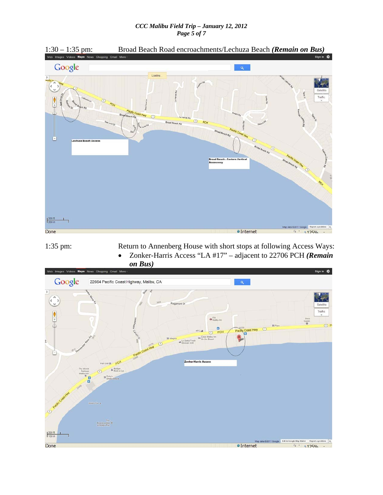#### *CCC Malibu Field Trip – January 12, 2012 Page 5 of 7*



1:35 pm: Return to Annenberg House with short stops at following Access Ways: Zonker-Harris Access "LA #17" – adjacent to 22706 PCH *(Remain* 

*on Bus)*

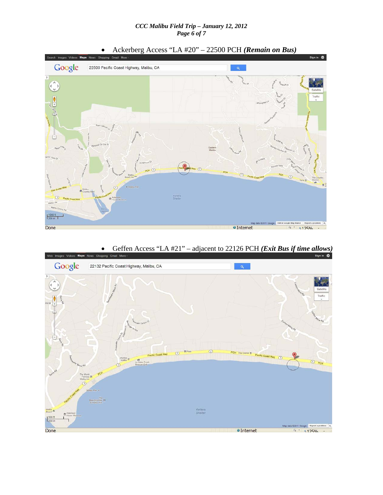#### *CCC Malibu Field Trip – January 12, 2012 Page 6 of 7*



Geffen Access "LA #21" – adjacent to 22126 PCH *(Exit Bus if time allows)*